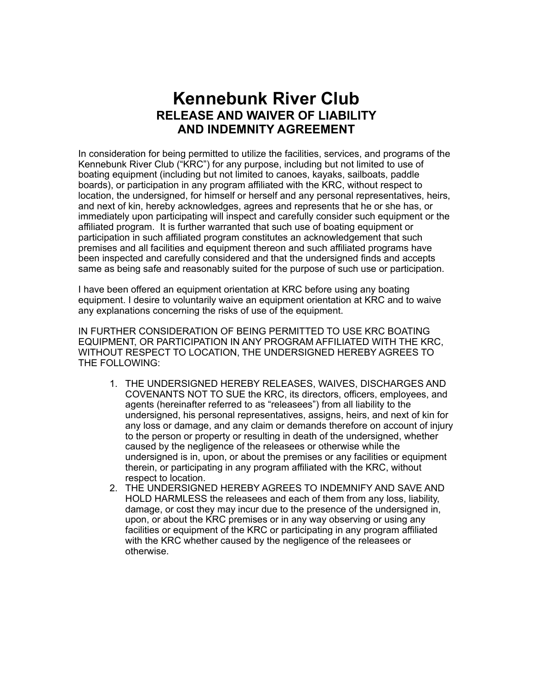## **Kennebunk River Club RELEASE AND WAIVER OF LIABILITY AND INDEMNITY AGREEMENT**

In consideration for being permitted to utilize the facilities, services, and programs of the Kennebunk River Club ("KRC") for any purpose, including but not limited to use of boating equipment (including but not limited to canoes, kayaks, sailboats, paddle boards), or participation in any program affiliated with the KRC, without respect to location, the undersigned, for himself or herself and any personal representatives, heirs, and next of kin, hereby acknowledges, agrees and represents that he or she has, or immediately upon participating will inspect and carefully consider such equipment or the affiliated program. It is further warranted that such use of boating equipment or participation in such affiliated program constitutes an acknowledgement that such premises and all facilities and equipment thereon and such affiliated programs have been inspected and carefully considered and that the undersigned finds and accepts same as being safe and reasonably suited for the purpose of such use or participation.

I have been offered an equipment orientation at KRC before using any boating equipment. I desire to voluntarily waive an equipment orientation at KRC and to waive any explanations concerning the risks of use of the equipment.

IN FURTHER CONSIDERATION OF BEING PERMITTED TO USE KRC BOATING EQUIPMENT, OR PARTICIPATION IN ANY PROGRAM AFFILIATED WITH THE KRC, WITHOUT RESPECT TO LOCATION, THE UNDERSIGNED HEREBY AGREES TO THE FOLLOWING:

- 1. THE UNDERSIGNED HEREBY RELEASES, WAIVES, DISCHARGES AND COVENANTS NOT TO SUE the KRC, its directors, officers, employees, and agents (hereinafter referred to as "releasees") from all liability to the undersigned, his personal representatives, assigns, heirs, and next of kin for any loss or damage, and any claim or demands therefore on account of injury to the person or property or resulting in death of the undersigned, whether caused by the negligence of the releasees or otherwise while the undersigned is in, upon, or about the premises or any facilities or equipment therein, or participating in any program affiliated with the KRC, without respect to location.
- 2. THE UNDERSIGNED HEREBY AGREES TO INDEMNIFY AND SAVE AND HOLD HARMLESS the releasees and each of them from any loss, liability, damage, or cost they may incur due to the presence of the undersigned in, upon, or about the KRC premises or in any way observing or using any facilities or equipment of the KRC or participating in any program affiliated with the KRC whether caused by the negligence of the releasees or otherwise.